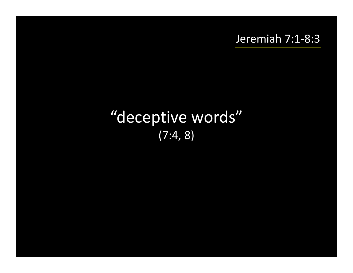### Jeremiah 7:1-8:3

# "deceptive words" (7:4, 8)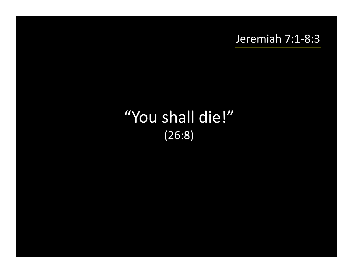Jeremiah 7:1-8:3

# "You shall die!" (26:8)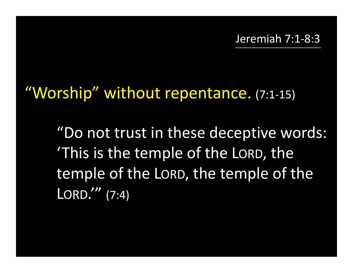# "Worship" without repentance. (7:1-15)

"Do not trust in these deceptive words: 'This is the temple of the LORD, the temple of the LORD, the temple of the LORD.'" (7:4)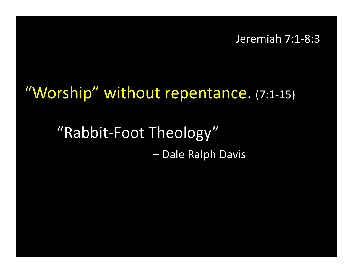# "Worship" without repentance. (7:1-15)

## "Rabbit-Foot Theology" – Dale Ralph Davis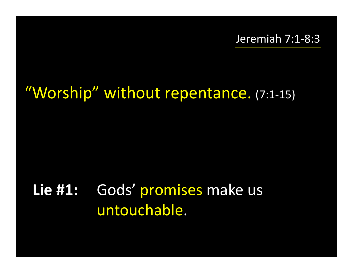# "Worship" without repentance. (7:1-15)

### **Lie #1:**: Gods' promises make us untouchable.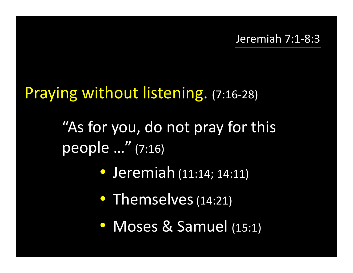## Praying without listening. (7:16-28)

"As for you, do not pray for this people …" (7:16)

- Jeremiah (11:14; 14:11)
- Themselves (14:21)
- Moses & Samuel (15:1)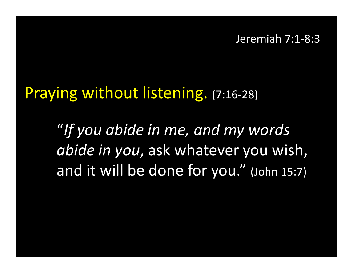## Praying without listening. (7:16-28)

"*If you abide in me, and my words abide in you*, ask whatever you wish, and it will be done for you." (John 15:7)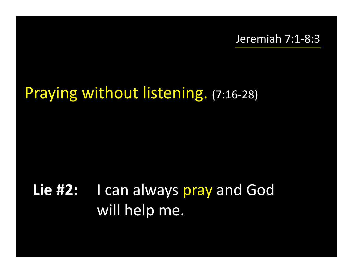### Jeremiah 7:1-8:3

## Praying without listening. (7:16-28)

# **Lie #2:** I can always pray and God will help me.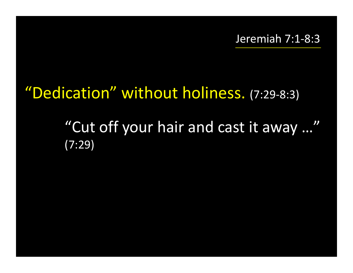# "Dedication" without holiness. (7:29-8:3)

"Cut off your hair and cast it away …"(7:29)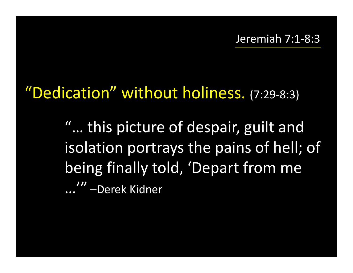# "Dedication" without holiness. (7:29-8:3)

"… this picture of despair, guilt and isolation portrays the pains of hell; of being finally told, 'Depart from me …'" –Derek Kidner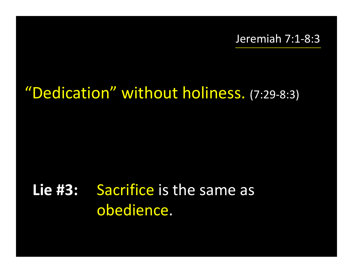# "Dedication" without holiness. (7:29-8:3)

# **Lie #3:** Sacrifice is the same as obedience.